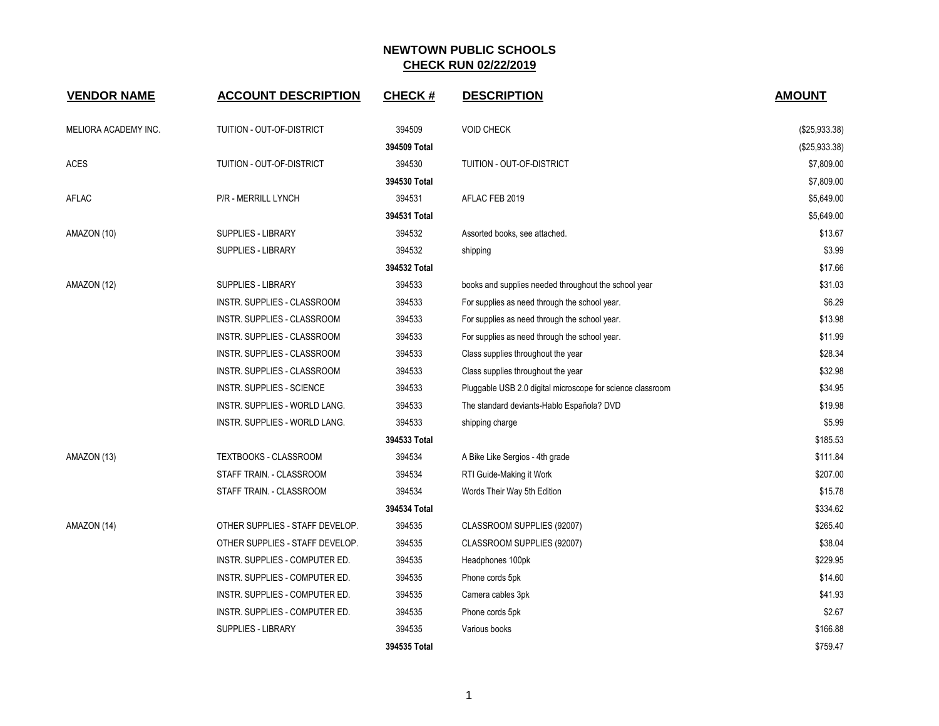| <b>VENDOR NAME</b>   | <b>ACCOUNT DESCRIPTION</b>      | <b>CHECK#</b> | <b>DESCRIPTION</b>                                         | <b>AMOUNT</b> |
|----------------------|---------------------------------|---------------|------------------------------------------------------------|---------------|
| MELIORA ACADEMY INC. | TUITION - OUT-OF-DISTRICT       | 394509        | <b>VOID CHECK</b>                                          | (\$25,933.38) |
|                      |                                 | 394509 Total  |                                                            | (\$25,933.38) |
| ACES                 | TUITION - OUT-OF-DISTRICT       | 394530        | TUITION - OUT-OF-DISTRICT                                  | \$7,809.00    |
|                      |                                 | 394530 Total  |                                                            | \$7,809.00    |
| AFLAC                | P/R - MERRILL LYNCH             | 394531        | AFLAC FEB 2019                                             | \$5,649.00    |
|                      |                                 | 394531 Total  |                                                            | \$5,649.00    |
| AMAZON (10)          | <b>SUPPLIES - LIBRARY</b>       | 394532        | Assorted books, see attached.                              | \$13.67       |
|                      | <b>SUPPLIES - LIBRARY</b>       | 394532        | shipping                                                   | \$3.99        |
|                      |                                 | 394532 Total  |                                                            | \$17.66       |
| AMAZON (12)          | SUPPLIES - LIBRARY              | 394533        | books and supplies needed throughout the school year       | \$31.03       |
|                      | INSTR. SUPPLIES - CLASSROOM     | 394533        | For supplies as need through the school year.              | \$6.29        |
|                      | INSTR. SUPPLIES - CLASSROOM     | 394533        | For supplies as need through the school year.              | \$13.98       |
|                      | INSTR. SUPPLIES - CLASSROOM     | 394533        | For supplies as need through the school year.              | \$11.99       |
|                      | INSTR. SUPPLIES - CLASSROOM     | 394533        | Class supplies throughout the year                         | \$28.34       |
|                      | INSTR. SUPPLIES - CLASSROOM     | 394533        | Class supplies throughout the year                         | \$32.98       |
|                      | INSTR. SUPPLIES - SCIENCE       | 394533        | Pluggable USB 2.0 digital microscope for science classroom | \$34.95       |
|                      | INSTR. SUPPLIES - WORLD LANG.   | 394533        | The standard deviants-Hablo Española? DVD                  | \$19.98       |
|                      | INSTR. SUPPLIES - WORLD LANG.   | 394533        | shipping charge                                            | \$5.99        |
|                      |                                 | 394533 Total  |                                                            | \$185.53      |
| AMAZON (13)          | TEXTBOOKS - CLASSROOM           | 394534        | A Bike Like Sergios - 4th grade                            | \$111.84      |
|                      | STAFF TRAIN. - CLASSROOM        | 394534        | RTI Guide-Making it Work                                   | \$207.00      |
|                      | STAFF TRAIN. - CLASSROOM        | 394534        | Words Their Way 5th Edition                                | \$15.78       |
|                      |                                 | 394534 Total  |                                                            | \$334.62      |
| AMAZON (14)          | OTHER SUPPLIES - STAFF DEVELOP. | 394535        | CLASSROOM SUPPLIES (92007)                                 | \$265.40      |
|                      | OTHER SUPPLIES - STAFF DEVELOP. | 394535        | CLASSROOM SUPPLIES (92007)                                 | \$38.04       |
|                      | INSTR. SUPPLIES - COMPUTER ED.  | 394535        | Headphones 100pk                                           | \$229.95      |
|                      | INSTR. SUPPLIES - COMPUTER ED.  | 394535        | Phone cords 5pk                                            | \$14.60       |
|                      | INSTR. SUPPLIES - COMPUTER ED.  | 394535        | Camera cables 3pk                                          | \$41.93       |
|                      | INSTR. SUPPLIES - COMPUTER ED.  | 394535        | Phone cords 5pk                                            | \$2.67        |
|                      | <b>SUPPLIES - LIBRARY</b>       | 394535        | Various books                                              | \$166.88      |
|                      |                                 | 394535 Total  |                                                            | \$759.47      |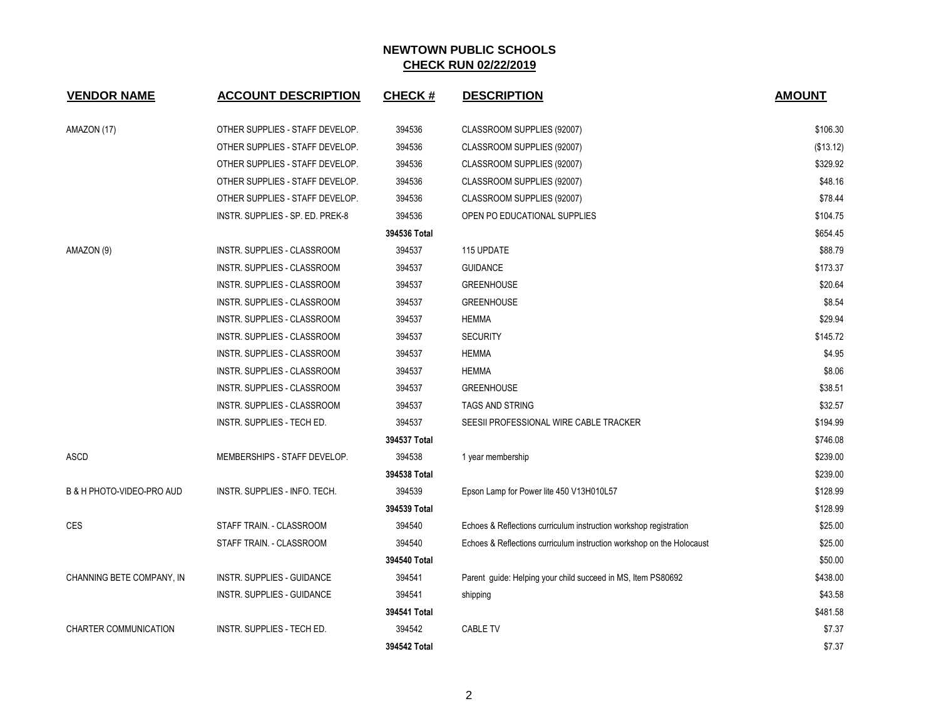| <b>VENDOR NAME</b>                   | <b>ACCOUNT DESCRIPTION</b>       | <b>CHECK#</b> | <b>DESCRIPTION</b>                                                    | <b>AMOUNT</b> |
|--------------------------------------|----------------------------------|---------------|-----------------------------------------------------------------------|---------------|
| AMAZON (17)                          | OTHER SUPPLIES - STAFF DEVELOP.  | 394536        | CLASSROOM SUPPLIES (92007)                                            | \$106.30      |
|                                      | OTHER SUPPLIES - STAFF DEVELOP.  | 394536        | CLASSROOM SUPPLIES (92007)                                            | (\$13.12)     |
|                                      | OTHER SUPPLIES - STAFF DEVELOP.  | 394536        | CLASSROOM SUPPLIES (92007)                                            | \$329.92      |
|                                      | OTHER SUPPLIES - STAFF DEVELOP.  | 394536        | CLASSROOM SUPPLIES (92007)                                            | \$48.16       |
|                                      | OTHER SUPPLIES - STAFF DEVELOP.  | 394536        | CLASSROOM SUPPLIES (92007)                                            | \$78.44       |
|                                      | INSTR. SUPPLIES - SP. ED. PREK-8 | 394536        | OPEN PO EDUCATIONAL SUPPLIES                                          | \$104.75      |
|                                      |                                  | 394536 Total  |                                                                       | \$654.45      |
| AMAZON (9)                           | INSTR. SUPPLIES - CLASSROOM      | 394537        | 115 UPDATE                                                            | \$88.79       |
|                                      | INSTR. SUPPLIES - CLASSROOM      | 394537        | <b>GUIDANCE</b>                                                       | \$173.37      |
|                                      | INSTR. SUPPLIES - CLASSROOM      | 394537        | <b>GREENHOUSE</b>                                                     | \$20.64       |
|                                      | INSTR. SUPPLIES - CLASSROOM      | 394537        | <b>GREENHOUSE</b>                                                     | \$8.54        |
|                                      | INSTR. SUPPLIES - CLASSROOM      | 394537        | <b>HEMMA</b>                                                          | \$29.94       |
|                                      | INSTR. SUPPLIES - CLASSROOM      | 394537        | <b>SECURITY</b>                                                       | \$145.72      |
|                                      | INSTR. SUPPLIES - CLASSROOM      | 394537        | <b>HEMMA</b>                                                          | \$4.95        |
|                                      | INSTR. SUPPLIES - CLASSROOM      | 394537        | <b>HEMMA</b>                                                          | \$8.06        |
|                                      | INSTR. SUPPLIES - CLASSROOM      | 394537        | <b>GREENHOUSE</b>                                                     | \$38.51       |
|                                      | INSTR. SUPPLIES - CLASSROOM      | 394537        | <b>TAGS AND STRING</b>                                                | \$32.57       |
|                                      | INSTR. SUPPLIES - TECH ED.       | 394537        | SEESII PROFESSIONAL WIRE CABLE TRACKER                                | \$194.99      |
|                                      |                                  | 394537 Total  |                                                                       | \$746.08      |
| ASCD                                 | MEMBERSHIPS - STAFF DEVELOP.     | 394538        | 1 year membership                                                     | \$239.00      |
|                                      |                                  | 394538 Total  |                                                                       | \$239.00      |
| <b>B &amp; H PHOTO-VIDEO-PRO AUD</b> | INSTR. SUPPLIES - INFO. TECH.    | 394539        | Epson Lamp for Power lite 450 V13H010L57                              | \$128.99      |
|                                      |                                  | 394539 Total  |                                                                       | \$128.99      |
| <b>CES</b>                           | STAFF TRAIN. - CLASSROOM         | 394540        | Echoes & Reflections curriculum instruction workshop registration     | \$25.00       |
|                                      | STAFF TRAIN. - CLASSROOM         | 394540        | Echoes & Reflections curriculum instruction workshop on the Holocaust | \$25.00       |
|                                      |                                  | 394540 Total  |                                                                       | \$50.00       |
| CHANNING BETE COMPANY, IN            | INSTR. SUPPLIES - GUIDANCE       | 394541        | Parent guide: Helping your child succeed in MS, Item PS80692          | \$438.00      |
|                                      | INSTR. SUPPLIES - GUIDANCE       | 394541        | shipping                                                              | \$43.58       |
|                                      |                                  | 394541 Total  |                                                                       | \$481.58      |
| <b>CHARTER COMMUNICATION</b>         | INSTR. SUPPLIES - TECH ED.       | 394542        | <b>CABLE TV</b>                                                       | \$7.37        |
|                                      |                                  | 394542 Total  |                                                                       | \$7.37        |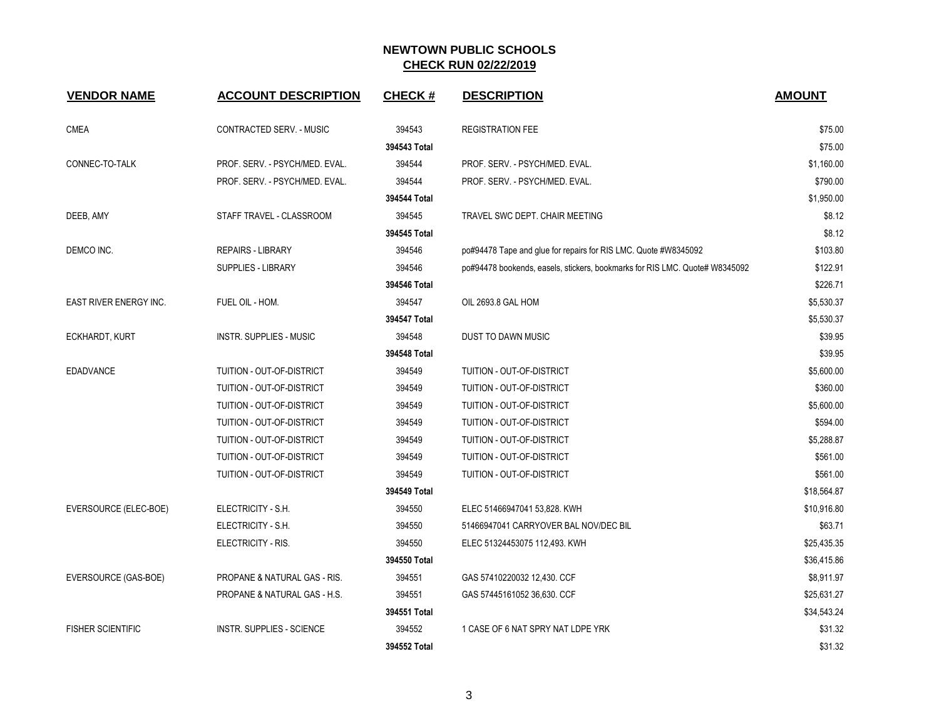| <b>VENDOR NAME</b>            | <b>ACCOUNT DESCRIPTION</b>       | <b>CHECK#</b> | <b>DESCRIPTION</b>                                                          | <b>AMOUNT</b> |
|-------------------------------|----------------------------------|---------------|-----------------------------------------------------------------------------|---------------|
| <b>CMEA</b>                   | CONTRACTED SERV. - MUSIC         | 394543        | <b>REGISTRATION FEE</b>                                                     | \$75.00       |
|                               |                                  | 394543 Total  |                                                                             | \$75.00       |
| CONNEC-TO-TALK                | PROF. SERV. - PSYCH/MED. EVAL.   | 394544        | PROF. SERV. - PSYCH/MED. EVAL.                                              | \$1,160.00    |
|                               | PROF. SERV. - PSYCH/MED. EVAL.   | 394544        | PROF. SERV. - PSYCH/MED. EVAL.                                              | \$790.00      |
|                               |                                  | 394544 Total  |                                                                             | \$1,950.00    |
| DEEB, AMY                     | STAFF TRAVEL - CLASSROOM         | 394545        | TRAVEL SWC DEPT. CHAIR MEETING                                              | \$8.12        |
|                               |                                  | 394545 Total  |                                                                             | \$8.12        |
| DEMCO INC.                    | <b>REPAIRS - LIBRARY</b>         | 394546        | po#94478 Tape and glue for repairs for RIS LMC. Quote #W8345092             | \$103.80      |
|                               | SUPPLIES - LIBRARY               | 394546        | po#94478 bookends, easels, stickers, bookmarks for RIS LMC. Quote# W8345092 | \$122.91      |
|                               |                                  | 394546 Total  |                                                                             | \$226.71      |
| <b>EAST RIVER ENERGY INC.</b> | FUEL OIL - HOM.                  | 394547        | OIL 2693.8 GAL HOM                                                          | \$5,530.37    |
|                               |                                  | 394547 Total  |                                                                             | \$5,530.37    |
| ECKHARDT, KURT                | <b>INSTR. SUPPLIES - MUSIC</b>   | 394548        | DUST TO DAWN MUSIC                                                          | \$39.95       |
|                               |                                  | 394548 Total  |                                                                             | \$39.95       |
| <b>EDADVANCE</b>              | TUITION - OUT-OF-DISTRICT        | 394549        | TUITION - OUT-OF-DISTRICT                                                   | \$5,600.00    |
|                               | TUITION - OUT-OF-DISTRICT        | 394549        | TUITION - OUT-OF-DISTRICT                                                   | \$360.00      |
|                               | TUITION - OUT-OF-DISTRICT        | 394549        | TUITION - OUT-OF-DISTRICT                                                   | \$5,600.00    |
|                               | TUITION - OUT-OF-DISTRICT        | 394549        | TUITION - OUT-OF-DISTRICT                                                   | \$594.00      |
|                               | TUITION - OUT-OF-DISTRICT        | 394549        | TUITION - OUT-OF-DISTRICT                                                   | \$5,288.87    |
|                               | TUITION - OUT-OF-DISTRICT        | 394549        | TUITION - OUT-OF-DISTRICT                                                   | \$561.00      |
|                               | TUITION - OUT-OF-DISTRICT        | 394549        | TUITION - OUT-OF-DISTRICT                                                   | \$561.00      |
|                               |                                  | 394549 Total  |                                                                             | \$18,564.87   |
| EVERSOURCE (ELEC-BOE)         | ELECTRICITY - S.H.               | 394550        | ELEC 51466947041 53,828. KWH                                                | \$10,916.80   |
|                               | ELECTRICITY - S.H.               | 394550        | 51466947041 CARRYOVER BAL NOV/DEC BIL                                       | \$63.71       |
|                               | ELECTRICITY - RIS.               | 394550        | ELEC 51324453075 112,493. KWH                                               | \$25,435.35   |
|                               |                                  | 394550 Total  |                                                                             | \$36,415.86   |
| EVERSOURCE (GAS-BOE)          | PROPANE & NATURAL GAS - RIS.     | 394551        | GAS 57410220032 12,430. CCF                                                 | \$8,911.97    |
|                               | PROPANE & NATURAL GAS - H.S.     | 394551        | GAS 57445161052 36,630. CCF                                                 | \$25,631.27   |
|                               |                                  | 394551 Total  |                                                                             | \$34,543.24   |
| <b>FISHER SCIENTIFIC</b>      | <b>INSTR. SUPPLIES - SCIENCE</b> | 394552        | 1 CASE OF 6 NAT SPRY NAT LDPE YRK                                           | \$31.32       |
|                               |                                  | 394552 Total  |                                                                             | \$31.32       |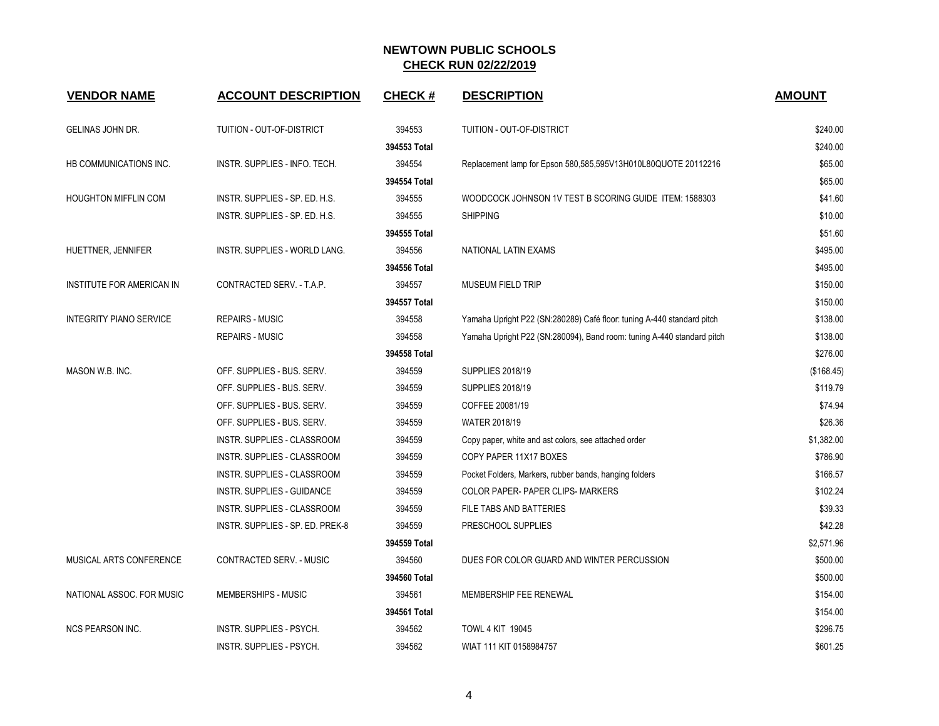| <b>VENDOR NAME</b>             | <b>ACCOUNT DESCRIPTION</b>       | <b>CHECK#</b> | <b>DESCRIPTION</b>                                                     | <b>AMOUNT</b> |
|--------------------------------|----------------------------------|---------------|------------------------------------------------------------------------|---------------|
|                                |                                  |               |                                                                        |               |
| GELINAS JOHN DR.               | TUITION - OUT-OF-DISTRICT        | 394553        | TUITION - OUT-OF-DISTRICT                                              | \$240.00      |
|                                |                                  | 394553 Total  |                                                                        | \$240.00      |
| HB COMMUNICATIONS INC.         | INSTR. SUPPLIES - INFO. TECH.    | 394554        | Replacement lamp for Epson 580,585,595V13H010L80QUOTE 20112216         | \$65.00       |
|                                |                                  | 394554 Total  |                                                                        | \$65.00       |
| <b>HOUGHTON MIFFLIN COM</b>    | INSTR. SUPPLIES - SP. ED. H.S.   | 394555        | WOODCOCK JOHNSON 1V TEST B SCORING GUIDE ITEM: 1588303                 | \$41.60       |
|                                | INSTR. SUPPLIES - SP. ED. H.S.   | 394555        | <b>SHIPPING</b>                                                        | \$10.00       |
|                                |                                  | 394555 Total  |                                                                        | \$51.60       |
| HUETTNER, JENNIFER             | INSTR. SUPPLIES - WORLD LANG.    | 394556        | NATIONAL LATIN EXAMS                                                   | \$495.00      |
|                                |                                  | 394556 Total  |                                                                        | \$495.00      |
| INSTITUTE FOR AMERICAN IN      | CONTRACTED SERV. - T.A.P.        | 394557        | <b>MUSEUM FIELD TRIP</b>                                               | \$150.00      |
|                                |                                  | 394557 Total  |                                                                        | \$150.00      |
| <b>INTEGRITY PIANO SERVICE</b> | <b>REPAIRS - MUSIC</b>           | 394558        | Yamaha Upright P22 (SN:280289) Café floor: tuning A-440 standard pitch | \$138.00      |
|                                | <b>REPAIRS - MUSIC</b>           | 394558        | Yamaha Upright P22 (SN:280094), Band room: tuning A-440 standard pitch | \$138.00      |
|                                |                                  | 394558 Total  |                                                                        | \$276.00      |
| MASON W.B. INC.                | OFF. SUPPLIES - BUS. SERV.       | 394559        | <b>SUPPLIES 2018/19</b>                                                | (\$168.45)    |
|                                | OFF. SUPPLIES - BUS. SERV.       | 394559        | <b>SUPPLIES 2018/19</b>                                                | \$119.79      |
|                                | OFF. SUPPLIES - BUS. SERV.       | 394559        | COFFEE 20081/19                                                        | \$74.94       |
|                                | OFF. SUPPLIES - BUS. SERV.       | 394559        | <b>WATER 2018/19</b>                                                   | \$26.36       |
|                                | INSTR. SUPPLIES - CLASSROOM      | 394559        | Copy paper, white and ast colors, see attached order                   | \$1,382.00    |
|                                | INSTR. SUPPLIES - CLASSROOM      | 394559        | COPY PAPER 11X17 BOXES                                                 | \$786.90      |
|                                | INSTR. SUPPLIES - CLASSROOM      | 394559        | Pocket Folders, Markers, rubber bands, hanging folders                 | \$166.57      |
|                                | INSTR. SUPPLIES - GUIDANCE       | 394559        | COLOR PAPER- PAPER CLIPS- MARKERS                                      | \$102.24      |
|                                | INSTR. SUPPLIES - CLASSROOM      | 394559        | FILE TABS AND BATTERIES                                                | \$39.33       |
|                                | INSTR. SUPPLIES - SP. ED. PREK-8 | 394559        | PRESCHOOL SUPPLIES                                                     | \$42.28       |
|                                |                                  | 394559 Total  |                                                                        | \$2,571.96    |
| MUSICAL ARTS CONFERENCE        | CONTRACTED SERV. - MUSIC         | 394560        | DUES FOR COLOR GUARD AND WINTER PERCUSSION                             | \$500.00      |
|                                |                                  | 394560 Total  |                                                                        | \$500.00      |
| NATIONAL ASSOC. FOR MUSIC      | MEMBERSHIPS - MUSIC              | 394561        | MEMBERSHIP FEE RENEWAL                                                 | \$154.00      |
|                                |                                  | 394561 Total  |                                                                        | \$154.00      |
| <b>NCS PEARSON INC.</b>        | <b>INSTR. SUPPLIES - PSYCH.</b>  | 394562        | <b>TOWL 4 KIT 19045</b>                                                | \$296.75      |
|                                | INSTR. SUPPLIES - PSYCH.         | 394562        | WIAT 111 KIT 0158984757                                                | \$601.25      |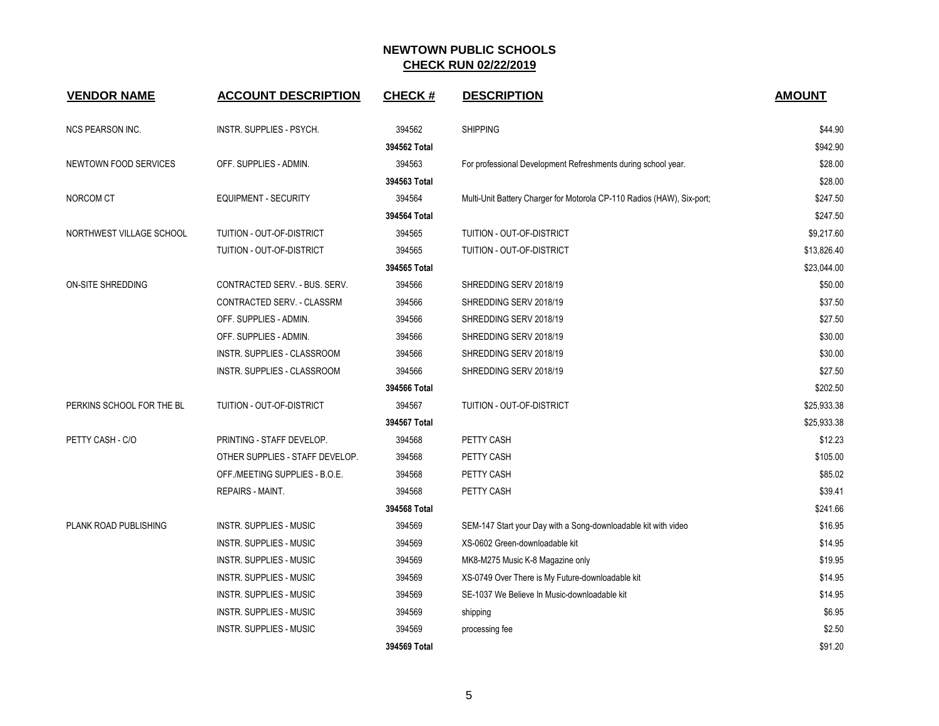| <b>VENDOR NAME</b>        | <b>ACCOUNT DESCRIPTION</b>      | <b>CHECK#</b> | <b>DESCRIPTION</b>                                                     | <b>AMOUNT</b> |
|---------------------------|---------------------------------|---------------|------------------------------------------------------------------------|---------------|
| <b>NCS PEARSON INC.</b>   | INSTR. SUPPLIES - PSYCH.        | 394562        | <b>SHIPPING</b>                                                        | \$44.90       |
|                           |                                 | 394562 Total  |                                                                        | \$942.90      |
| NEWTOWN FOOD SERVICES     | OFF. SUPPLIES - ADMIN.          | 394563        | For professional Development Refreshments during school year.          | \$28.00       |
|                           |                                 | 394563 Total  |                                                                        | \$28.00       |
| NORCOM CT                 | <b>EQUIPMENT - SECURITY</b>     | 394564        | Multi-Unit Battery Charger for Motorola CP-110 Radios (HAW), Six-port; | \$247.50      |
|                           |                                 | 394564 Total  |                                                                        | \$247.50      |
| NORTHWEST VILLAGE SCHOOL  | TUITION - OUT-OF-DISTRICT       | 394565        | TUITION - OUT-OF-DISTRICT                                              | \$9,217.60    |
|                           | TUITION - OUT-OF-DISTRICT       | 394565        | TUITION - OUT-OF-DISTRICT                                              | \$13,826.40   |
|                           |                                 | 394565 Total  |                                                                        | \$23,044.00   |
| <b>ON-SITE SHREDDING</b>  | CONTRACTED SERV. - BUS. SERV.   | 394566        | SHREDDING SERV 2018/19                                                 | \$50.00       |
|                           | CONTRACTED SERV. - CLASSRM      | 394566        | SHREDDING SERV 2018/19                                                 | \$37.50       |
|                           | OFF. SUPPLIES - ADMIN.          | 394566        | SHREDDING SERV 2018/19                                                 | \$27.50       |
|                           | OFF. SUPPLIES - ADMIN.          | 394566        | SHREDDING SERV 2018/19                                                 | \$30.00       |
|                           | INSTR. SUPPLIES - CLASSROOM     | 394566        | SHREDDING SERV 2018/19                                                 | \$30.00       |
|                           | INSTR. SUPPLIES - CLASSROOM     | 394566        | SHREDDING SERV 2018/19                                                 | \$27.50       |
|                           |                                 | 394566 Total  |                                                                        | \$202.50      |
| PERKINS SCHOOL FOR THE BL | TUITION - OUT-OF-DISTRICT       | 394567        | TUITION - OUT-OF-DISTRICT                                              | \$25,933.38   |
|                           |                                 | 394567 Total  |                                                                        | \$25,933.38   |
| PETTY CASH - C/O          | PRINTING - STAFF DEVELOP.       | 394568        | PETTY CASH                                                             | \$12.23       |
|                           | OTHER SUPPLIES - STAFF DEVELOP. | 394568        | PETTY CASH                                                             | \$105.00      |
|                           | OFF./MEETING SUPPLIES - B.O.E.  | 394568        | PETTY CASH                                                             | \$85.02       |
|                           | REPAIRS - MAINT.                | 394568        | PETTY CASH                                                             | \$39.41       |
|                           |                                 | 394568 Total  |                                                                        | \$241.66      |
| PLANK ROAD PUBLISHING     | <b>INSTR. SUPPLIES - MUSIC</b>  | 394569        | SEM-147 Start your Day with a Song-downloadable kit with video         | \$16.95       |
|                           | INSTR. SUPPLIES - MUSIC         | 394569        | XS-0602 Green-downloadable kit                                         | \$14.95       |
|                           | INSTR. SUPPLIES - MUSIC         | 394569        | MK8-M275 Music K-8 Magazine only                                       | \$19.95       |
|                           | INSTR. SUPPLIES - MUSIC         | 394569        | XS-0749 Over There is My Future-downloadable kit                       | \$14.95       |
|                           | INSTR. SUPPLIES - MUSIC         | 394569        | SE-1037 We Believe In Music-downloadable kit                           | \$14.95       |
|                           | <b>INSTR. SUPPLIES - MUSIC</b>  | 394569        | shipping                                                               | \$6.95        |
|                           | <b>INSTR. SUPPLIES - MUSIC</b>  | 394569        | processing fee                                                         | \$2.50        |
|                           |                                 | 394569 Total  |                                                                        | \$91.20       |